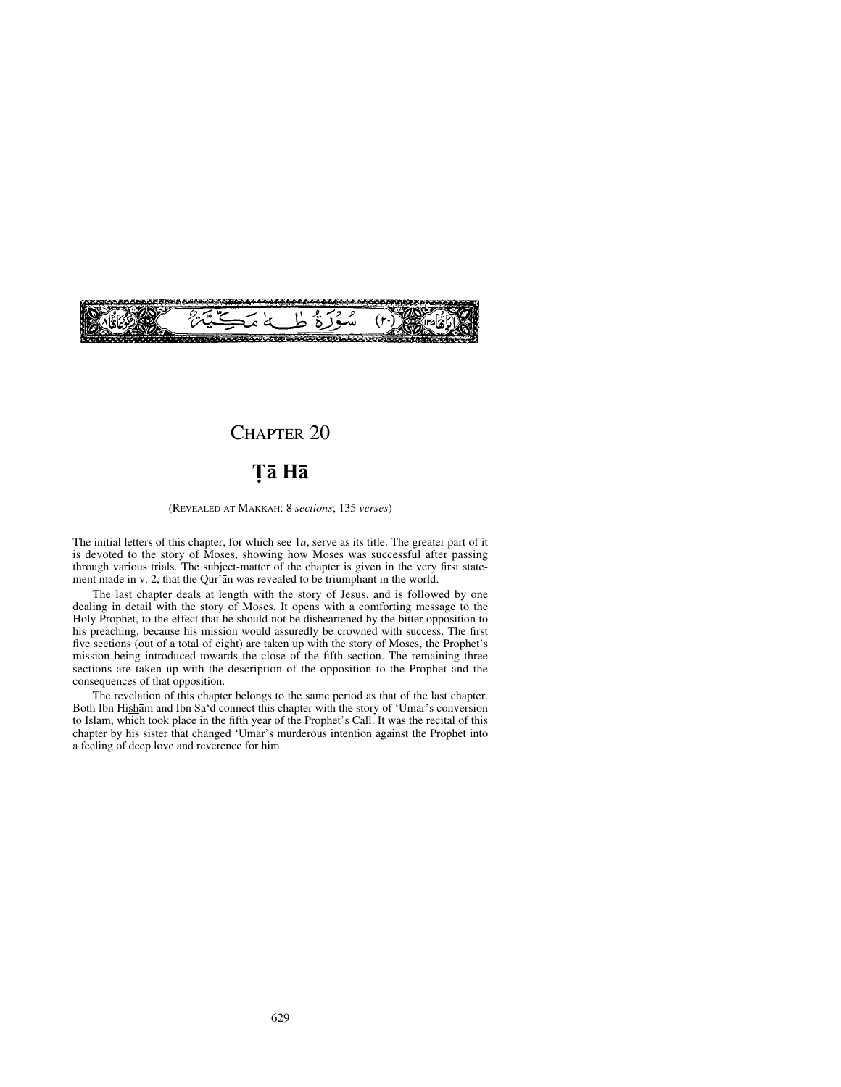

## CHAPTER 20

# **Ôå Hå**

(REVEALED AT MAKKAH: 8 *sections*; 135 *verses*)

The initial letters of this chapter, for which see 1*a*, serve as its title. The greater part of it is devoted to the story of Moses, showing how Moses was successful after passing through various trials. The subject-matter of the chapter is given in the very first statement made in v. 2, that the Qur'ån was revealed to be triumphant in the world.

The last chapter deals at length with the story of Jesus, and is followed by one dealing in detail with the story of Moses. It opens with a comforting message to the Holy Prophet, to the effect that he should not be disheartened by the bitter opposition to his preaching, because his mission would assuredly be crowned with success. The first five sections (out of a total of eight) are taken up with the story of Moses, the Prophet's mission being introduced towards the close of the fifth section. The remaining three sections are taken up with the description of the opposition to the Prophet and the consequences of that opposition.

The revelation of this chapter belongs to the same period as that of the last chapter. Both Ibn Hishåm and Ibn Sa'd connect this chapter with the story of 'Umar's conversion to Islåm, which took place in the fifth year of the Prophet's Call. It was the recital of this chapter by his sister that changed 'Umar's murderous intention against the Prophet into a feeling of deep love and reverence for him.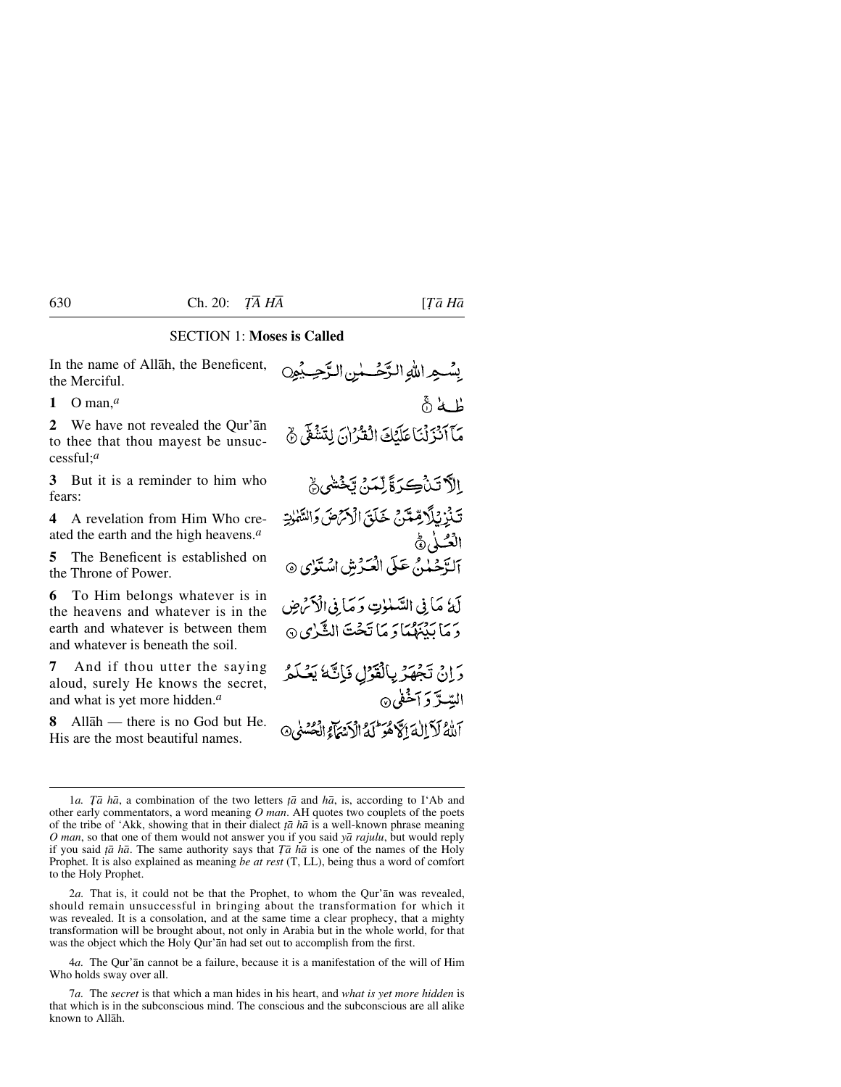### SECTION 1: **Moses is Called**

In the name of Allåh, the Beneficent, the Merciful.

**1** O man,*a*

**2** We have not revealed the Qur'ån to thee that thou mayest be unsuccessful;*a*

**3** But it is a reminder to him who fears:

**4** A revelation from Him Who created the earth and the high heavens.*a*

**5** The Beneficent is established on the Throne of Power.

**6** To Him belongs whatever is in the heavens and whatever is in the earth and whatever is between them and whatever is beneath the soil.

**7** And if thou utter the saying aloud, surely He knows the secret, and what is yet more hidden.*a*

**8** Allåh — there is no God but He. His are the most beautiful names.

طْهُ مَآآذَزَنْنَا عَلَيْكَ الْغَيْرَانَ لِتَتَثَقَّى هُ الآتَنْ كِرَةَ لِّمَنْ يَخْشَى هُمْ تَذْرُ لِلْأَصِّلَامِ خَلَقَ الْأَرْتَهِينَ وَالسَّمْلِةِ آلةَ جُبُدْمٌ عَلَى الْعَبْرْ مِثْنِ اسْتَوْبِي ۞ لَهُ مَا فِي السَّلْوٰتِ دَ مَا فِي الْأَنْرَاضِ دَ مَا بَدْنِهُمَا دَ مَا تَحْتَ الشَّرْيِ ۞ رَانُ تَجْهَزُ بِالْقَرْلِ فَإِنَّهُ يَعْلَمُ السِّدَّ دَ آخَفَىٰ۞

بِسْهِ اللهِ الدَّحْسُنِ الدَّحِيْمِ

آللهُ لَأَ اللّهَ الْكَرْهُو ۖ أَوَ أَدْيَهَ] وَالْحُسُنُى ۞

<sup>1</sup>*a. Tā hā*, a combination of the two letters *ţā* and *hā*, is, according to I'Ab and other early commentators, a word meaning *O man*. AH quotes two couplets of the poets of the tribe of 'Akk, showing that in their dialect *∆å hå* is a well-known phrase meaning *O man*, so that one of them would not answer you if you said *yå rajulu*, but would reply if you said *∆å hå*. The same authority says that *Ôå hå* is one of the names of the Holy Prophet. It is also explained as meaning *be at rest* (T, LL), being thus a word of comfort to the Holy Prophet.

<sup>2</sup>*a.* That is, it could not be that the Prophet, to whom the Qur'ån was revealed, should remain unsuccessful in bringing about the transformation for which it was revealed. It is a consolation, and at the same time a clear prophecy, that a mighty transformation will be brought about, not only in Arabia but in the whole world, for that was the object which the Holy Qur'ån had set out to accomplish from the first.

<sup>4</sup>*a.* The Qur'ån cannot be a failure, because it is a manifestation of the will of Him Who holds sway over all.

<sup>7</sup>*a.* The *secret* is that which a man hides in his heart, and *what is yet more hidden* is that which is in the subconscious mind. The conscious and the subconscious are all alike known to Allåh.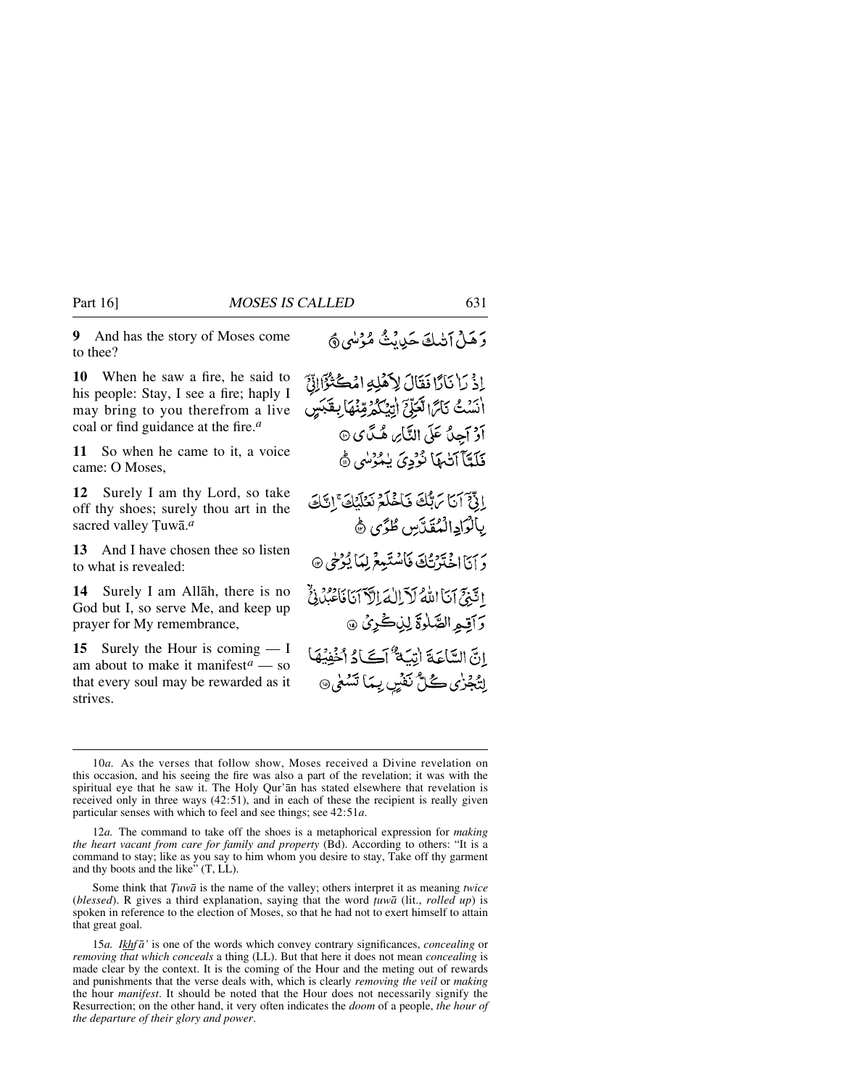**9** And has the story of Moses come to thee?

**10** When he saw a fire, he said to his people: Stay, I see a fire; haply I may bring to you therefrom a live coal or find guidance at the fire.*a*

**11** So when he came to it, a voice came: O Moses,

**12** Surely I am thy Lord, so take off thy shoes; surely thou art in the sacred valley Tuwā.<sup>*a*</sup>

**13** And I have chosen thee so listen to what is revealed:

**14** Surely I am Allåh, there is no God but I, so serve Me, and keep up prayer for My remembrance,

**15** Surely the Hour is coming — I am about to make it manifest*a* — so that every soul may be rewarded as it strives.

إِذْ رَا نَارًا فَقَالَ لِأَهْلِهِ امْكُنْزَاإِنِّيَ انَسْتُ تَاتَرَا لَعَلِّيَّ اٰتِيْكُمْ قِنْهَا بِعَبَسٍ آوْ آجِنٌ عَلَى النَّائِ هُ مَّ يِ ۞ فَلَمَّنَّآتَهُمَا نُؤْدِيَ يَبْدُسُي ١ إِذْمَ آَيَا بَرَبُّكَ فَاخْلَعْ نَعْلَنُكَ ۚ إِنَّكَ بِالْوَادِالْمُقَدَّسِ طُوَّى ﴾ وَ إِذَا اخْتَرْتُكَ فَأَسْتَعِعْ لِمَا يُرْخِي @ الَّبْنَيِّ آيَا اللَّهُ لَا اللَّهَ إِلَّا آيَا فَاعْدُ فِي وَآتِمِ الصَّلْوَةَ لِيْبِاكْرِيْ ۞ انَّ السَّاعَةَ إِيَّـهُ ۖ أَكَيَادُ أَخْفِيهَا لِتُجْزٰى كُلُّ نَفْسٍ بِيَا تَسْعٰى۞

Some think that  $T u w \bar{a}$  is the name of the valley; others interpret it as meaning *twice* (*blessed*). R gives a third explanation, saying that the word *∆uwå* (lit., *rolled up*) is spoken in reference to the election of Moses, so that he had not to exert himself to attain that great goal.

15*a. Ikhf å'* is one of the words which convey contrary significances, *concealing* or *removing that which conceals* a thing (LL). But that here it does not mean *concealing* is made clear by the context. It is the coming of the Hour and the meting out of rewards and punishments that the verse deals with, which is clearly *removing the veil* or *making* the hour *manifest*. It should be noted that the Hour does not necessarily signify the Resurrection; on the other hand, it very often indicates the *doom* of a people, *the hour of the departure of their glory and power*.

<sup>10</sup>*a.* As the verses that follow show, Moses received a Divine revelation on this occasion, and his seeing the fire was also a part of the revelation; it was with the spiritual eye that he saw it. The Holy Qur'ån has stated elsewhere that revelation is received only in three ways (42:51), and in each of these the recipient is really given particular senses with which to feel and see things; see 42:51*a*.

<sup>12</sup>*a.* The command to take off the shoes is a metaphorical expression for *making the heart vacant from care for family and property* (Bd). According to others: "It is a command to stay; like as you say to him whom you desire to stay, Take off thy garment and thy boots and the like" (T, LL).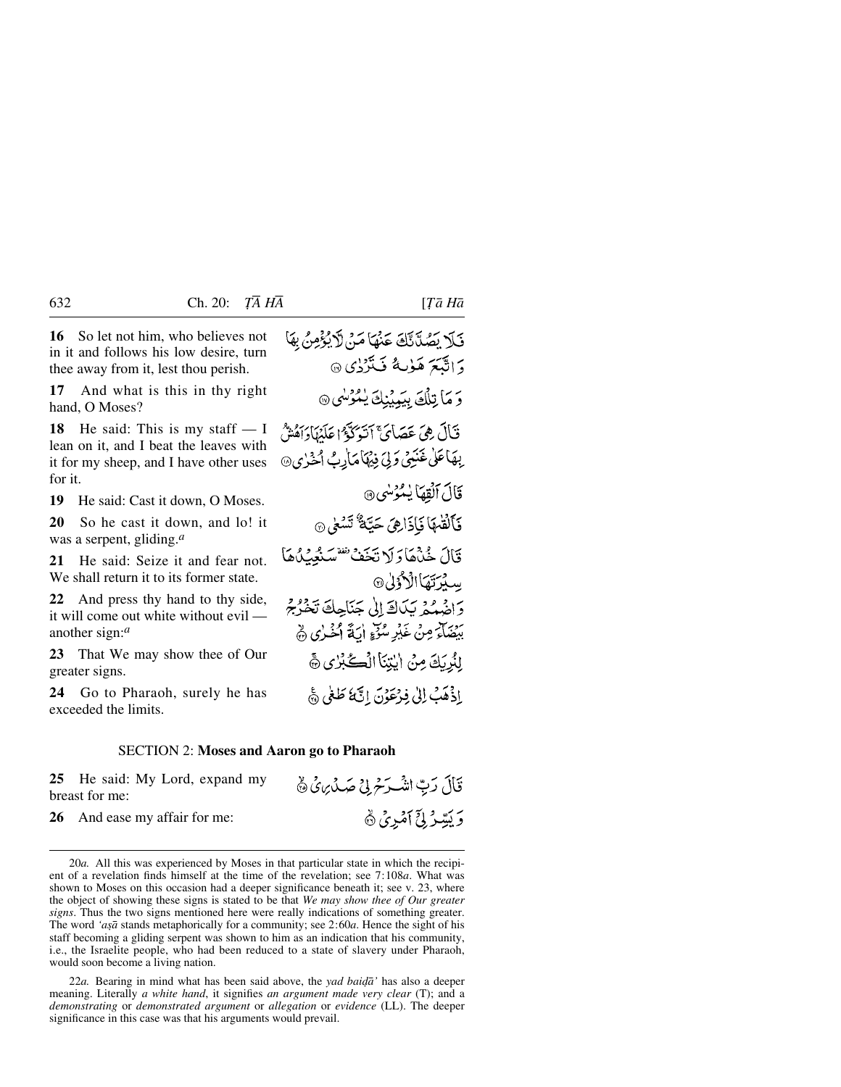**16** So let not him, who believes not in it and follows his low desire, turn thee away from it, lest thou perish.

**17** And what is this in thy right hand, O Moses?

**18** He said: This is my staff — I lean on it, and I beat the leaves with it for my sheep, and I have other uses for it.

**19** He said: Cast it down, O Moses.

**20** So he cast it down, and lo! it was a serpent, gliding.*a*

**21** He said: Seize it and fear not. We shall return it to its former state.

**22** And press thy hand to thy side, it will come out white without evil another sign:*a*

**23** That We may show thee of Our greater signs.

**24** Go to Pharaoh, surely he has exceeded the limits.

#### SECTION 2: **Moses and Aaron go to Pharaoh**

**25** He said: My Lord, expand my breast for me:

**26** And ease my affair for me:

22*a*. Bearing in mind what has been said above, the *yad baida*' has also a deeper meaning. Literally *a white hand*, it signifies *an argument made very clear* (T); and a *demonstrating* or *demonstrated argument* or *allegation* or *evidence* (LL). The deeper significance in this case was that his arguments would prevail.

فَلَا يَصُدَّنَّكَ عَنْهَا مَنْ لَأَيْؤُمِنُ بِهَا دَاتَيْبَرَ هَوْبِهُ فَيَتَزَرْى ۞ وَمَا تِلْكَ بِيَبِيْنِكَ لِمُؤْسَى ﴾ قَالَ هِيَ عَصَائِ ٱتَوَكَّدُّا عَلَيْنَادَاَهُنَّ بِهَأْعَلَىٰ غَنَيْمِي وَلِيَ ذِيْهَاَهَا ٰ رِبُّ أَخْرُبِيِ۞ قَالَ أَلْقِهَاْ يٰمُدُسٰي ۞ قَالَقْهَا فَإِذَاهِيَ حَيَّةٌ تَسْعَى ۞ قَالَ خُذُهَا دَ لَا تَخَفْ تَفْقَدَ بِمُدْرُهُ هَا سِدْرَتْهَا الْأَدْوُلِيِّ @ وَاضْعُمْ يَدَاكَ إِلَىٰ جَنَاحِكَ تَخْرُجُ بَيْضَآءَ مِنْ غَيْرِ سُوْءٍ أَنَةً أَخْبِرْي ۞ لِدُرَبِكَ مِنْ الِبْنِنَا الْكُبْرُى ﴾ إِذْ هَبْ إِلَىٰ فِدْعَوْنَ إِنَّ كَالَمَحْ هَلْ هَيْ

قَالَ رَبِّ اشْرَحْ لِي صَدْرِهِ ﴾ وَيَبِّدْ لِيَّ آمُدِيُّ ۞

<sup>20</sup>*a.* All this was experienced by Moses in that particular state in which the recipient of a revelation finds himself at the time of the revelation; see 7:108*a*. What was shown to Moses on this occasion had a deeper significance beneath it; see v. 23, where the object of showing these signs is stated to be that *We may show thee of Our greater signs*. Thus the two signs mentioned here were really indications of something greater. The word 'aşa stands metaphorically for a community; see 2:60a. Hence the sight of his staff becoming a gliding serpent was shown to him as an indication that his community, i.e., the Israelite people, who had been reduced to a state of slavery under Pharaoh, would soon become a living nation.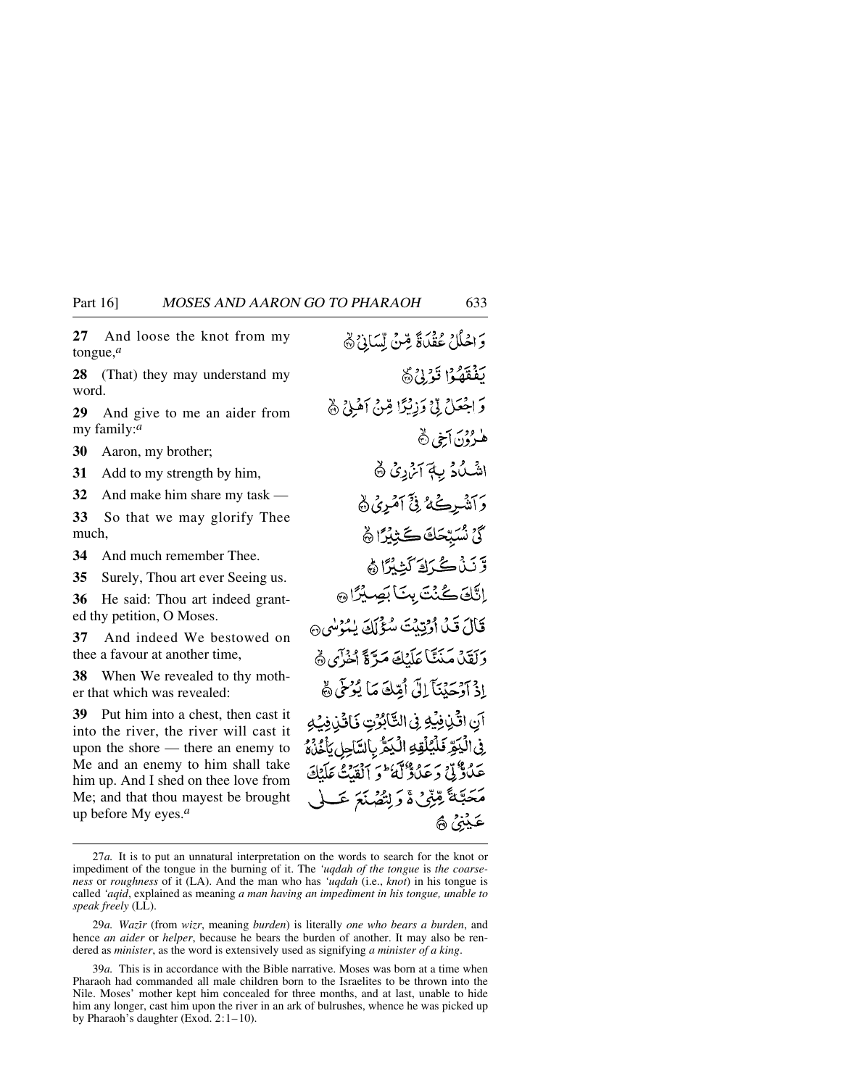**27** And loose the knot from my tongue,*a*

**28** (That) they may understand my word.

**29** And give to me an aider from my family:*a*

**30** Aaron, my brother;

**31** Add to my strength by him,

**32** And make him share my task —

**33** So that we may glorify Thee much,

**34** And much remember Thee.

**35** Surely, Thou art ever Seeing us.

**36** He said: Thou art indeed granted thy petition, O Moses.

**37** And indeed We bestowed on thee a favour at another time,

**38** When We revealed to thy mother that which was revealed:

**39** Put him into a chest, then cast it into the river, the river will cast it upon the shore — there an enemy to Me and an enemy to him shall take him up. And I shed on thee love from Me; and that thou mayest be brought up before My eyes.*a*

وَ احْلُلْ عُقْدَةً قِنْ لِّسَانِيْ لَهُ بَفَقَهُوْا قَوْلِيْ؟ وَ اِجْعَلْ لِّيْ وَزِيْزًا مِّنْ أَهْلِيْ ﴾ هٰ دُوْنَ أَخِي ۞ اشْكُ وَ بِهِ آمُ رِىْ ﴾ دَ آَشْرِكْهُ فِيٍّ آمُرِيُ ۞ **َّكَنْ نُسَبِّحَكَ كَثِيْرًا** ۞ وَّنَنْ كُرَكَ كَشِبْرًاهُ إِنَّكَ كُنْتَ بِنَا بَصِيْرًا مَ قَالَ قَدْ أَوْتِيْتَ سُؤْلَكَ يٰمُؤْسُ دَيْقِينَ مَنَتَنَا عَلَيْكَ مَيَرَّةً أَخْزَى هُيَّ إِذْ آرْحَيْنَا إِلَىٰ أُمِّكَ مَا يُرْحَى ﴾ أَنِ الْخَٰذِيْبُ فِي التَّابُوُتِ فَافَنِ فِيْهِ فِي الْيَمِّرِ فَلْيُلْقِهِ الْيَمُّرُ بِالسَّاحِلِ بَأَخُذٌهُ عَبْدُوٌّ بِيِّ دَعَبْدُوٌّ لَهُ ۖ وَ ٱلۡقَيۡتُ عَلَيۡكَ مَحَبَّةً مِّنِّيٌّ وَلِتَصْنَعَ عَـ عَيْنُهُمُ ﴾

<sup>27</sup>*a.* It is to put an unnatural interpretation on the words to search for the knot or impediment of the tongue in the burning of it. The *'uqdah of the tongue* is *the coarseness* or *roughness* of it (LA). And the man who has *'uqdah* (i.e., *knot*) in his tongue is called *'aqid*, explained as meaning *a man having an impediment in his tongue, unable to speak freely* (LL).

<sup>29</sup>*a. Wazßr* (from *wizr*, meaning *burden*) is literally *one who bears a burden*, and hence *an aider* or *helper*, because he bears the burden of another. It may also be rendered as *minister*, as the word is extensively used as signifying *a minister of a king*.

<sup>39</sup>*a.* This is in accordance with the Bible narrative. Moses was born at a time when Pharaoh had commanded all male children born to the Israelites to be thrown into the Nile. Moses' mother kept him concealed for three months, and at last, unable to hide him any longer, cast him upon the river in an ark of bulrushes, whence he was picked up by Pharaoh's daughter (Exod. 2:1–10).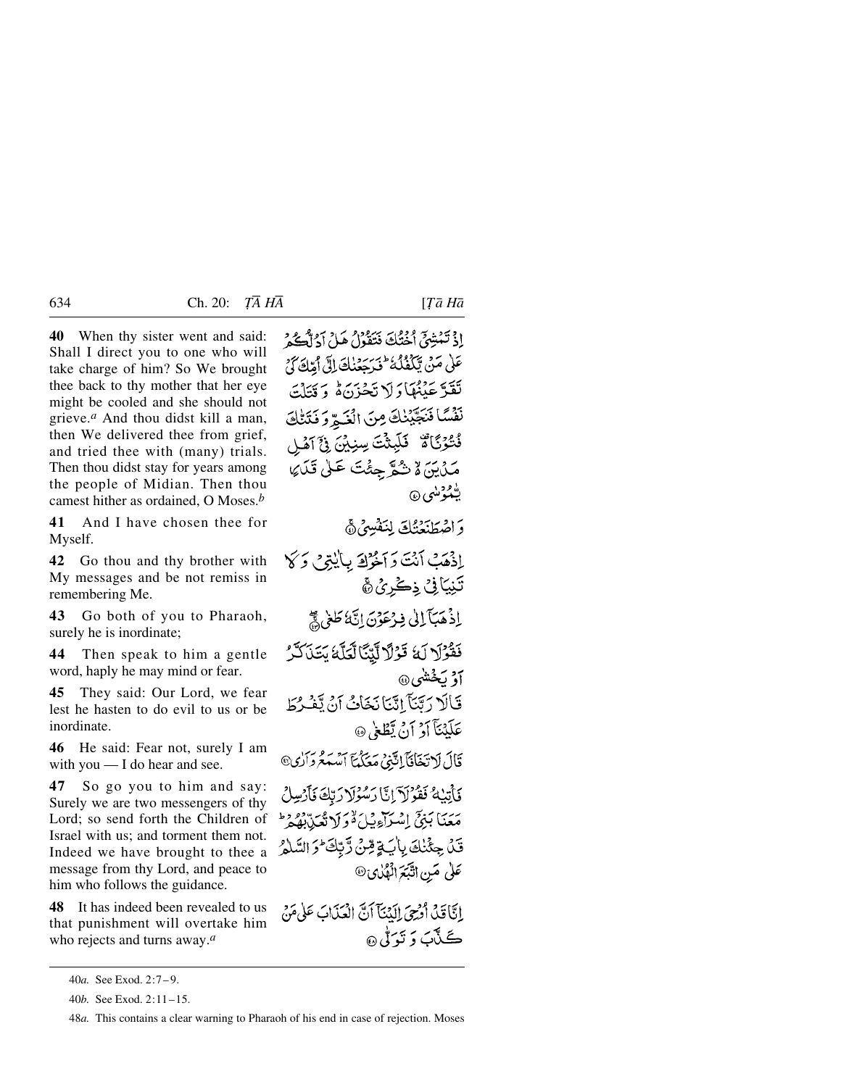**40** When thy sister went and said: Shall I direct you to one who will take charge of him? So We brought thee back to thy mother that her eye might be cooled and she should not grieve.*a* And thou didst kill a man, then We delivered thee from grief, and tried thee with (many) trials. Then thou didst stay for years among the people of Midian. Then thou camest hither as ordained, O Moses.*b*

**41** And I have chosen thee for Myself.

**42** Go thou and thy brother with My messages and be not remiss in remembering Me.

**43** Go both of you to Pharaoh, surely he is inordinate;

**44** Then speak to him a gentle word, haply he may mind or fear.

**45** They said: Our Lord, we fear lest he hasten to do evil to us or be inordinate.

**46** He said: Fear not, surely I am with you  $\frac{1}{1}$  do hear and see.

**47** So go you to him and say: Surely we are two messengers of thy Lord; so send forth the Children of Israel with us; and torment them not. Indeed we have brought to thee a message from thy Lord, and peace to him who follows the guidance.

**48** It has indeed been revealed to us that punishment will overtake him who rejects and turns away.*a*

إِذْ تَنْشِئَ أَخْتُكَ فَتَقُوْلُ هَارُ أَدْلَكُمْ ۚ عَلَىٰ مَنْ يَكْفُلُهُ ۚ فَرَجَعۡنَٰكَ إِلَىٰٓ أَمِّكَ كَيۡ تَقَدَّعَيْنَهَا َ لَا تَحْزَنَ َهُ وَ قَتَلَتَ نَفْسًا فَنَجَّيْنِكَ مِنَ الْغَيِّرِ وَفَتَتَّكَ فُتُوَكَّاةٌ فَلَبِثْتَ سِنِيْنَ فِيَّ آهُلِ مَدْيَنَ لَهُ شُمَّ جِئْتَ عَلَىٰ قَدَايَا ي<sup>ن</sup>ىمۇمىسى وَاصْطَنَعْتُكَ لِنَفْسِيٌ إِذْهَبُ أَنْتَ وَأَخْرُكَ بِالْيَتِي وَكَلَّ تَنِيَانِيٌ ذِكْرِيٌ۞ إذْهَبَآ إِلَىٰ فِرْعَوْنَ إِنَّهُ طَغِي فَقُوْلَا لَهُ قَوْلًا لَّيِّنَّا لَّعَلَّهُ بَتَنَاكَّرُ **آؤ ڪَئشي** @ فَبَالَا رَتَيْنَآ اتَّنَا نَخَابُ أَنْ لَفَ رُجَ عَلَيْنَآ أَدْ أَنْ يَظْغَىٰ ۞ قَالَ لاتَغَافَأَ إِنَّنِي مَعَكُمآ ٱسۡمَعُ وَٱلۡيِ۞ فَأَتِيْبُهُ فَقُوْلَا َإِنَّا رَسُوْلَا رَبَّكَ فَأَرْسِلُ مَعَنَا بَنِيٍّ إِسْرَاءِيْلَ ُوَلَا تُعَدِّدُهُ وَ قَلْ جِئْنُكَ بِأَيَةٍ قِنْ زَّبِّكَ فَرَ السَّلَامُ عَلَىٰ مَنِ اتَّبَعَ انْهُدُىٰ۞

إِنَّاقَكَ أَدْجِيَ إِلَيْنَآَ أَنَّ الْعَذَابَ عَلَى مَنْ ڪَٽَآپَ دَ تَدَڻُ @

<sup>40</sup>*a.* See Exod. 2:7– 9.

<sup>40</sup>*b.* See Exod. 2:11–15.

<sup>48</sup>*a.* This contains a clear warning to Pharaoh of his end in case of rejection. Moses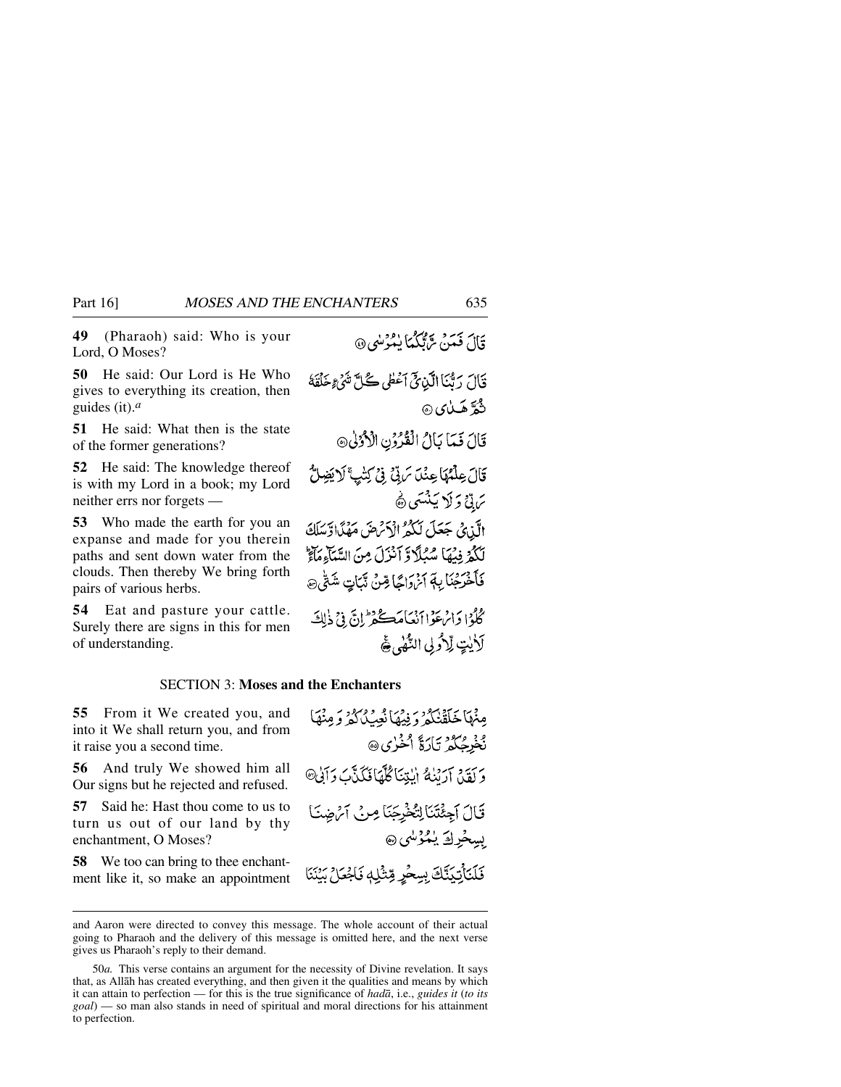**49** (Pharaoh) said: Who is your Lord, O Moses?

**50** He said: Our Lord is He Who gives to everything its creation, then guides (it).*a*

**51** He said: What then is the state of the former generations?

**52** He said: The knowledge thereof is with my Lord in a book; my Lord neither errs nor forgets —

**53** Who made the earth for you an expanse and made for you therein paths and sent down water from the clouds. Then thereby We bring forth pairs of various herbs.

**54** Eat and pasture your cattle. Surely there are signs in this for men of understanding.

قَالَ فَعَدْنَ مِنْ تَكْبَأَ بِمُؤْمَنِي ۞ قَالَ رَبُّنَا الَّذِيحَ آَعْظَى كُلَّ تَنْيُءٍ خَلْقَةُ ثةً هَباي۞ تَالَ فَمَا بَالُ الْقُرُونِ الْأَوْلٰى قَالَ عِلْمُهَا عِنْدَ مَرِبِّيٌ فِي كِتْبِ ۚ لَا يَضِلُّ ئرتي دَ لَا يَنْتَسَى هَ الَّذِيقَ جَعَلَ لَكُمُ الْأَسْرَضَ مَهْلًاا وَّسَلَكَ لَكُمْ فِيهَا سُبُلًا وَ آَنْزَلَ مِنَ السَّمَاءِ مَآءٌ فَأَخْرَجْنَا بِهَةَ أَنْزَوَاجًا قِنْ تَبَاتٍ شَتَّىٰ ﴾ كُلُوْا دَائِرْ عَدْا أَنْعَامَكَ عَمْرٌ إِنَّ فِي ذٰلِكَ لَأَيْتٍ لِّلأُولِي النُّهْمِ ثَجَّ

#### SECTION 3: **Moses and the Enchanters**

**55** From it We created you, and into it We shall return you, and from it raise you a second time.

**56** And truly We showed him all Our signs but he rejected and refused.

**57** Said he: Hast thou come to us to turn us out of our land by thy enchantment, O Moses?

**58** We too can bring to thee enchantment like it, so make an appointment

مِنْهَا خَلَقْنَكُمْ وَ فِيْهَا نُعِيدُ لَكُمْ وَ مِنْهَا نْخْبِجُكُمْ تَارَةً اُخْزِي ۞ وَلَقَنْ آرَيْنَهُ إيْتِنَاكُلُّهَا فَكَذَّبَ وَآَبِيْ قَالَ أَجِئْتَنَا لِتُخْرِجَنَا مِنْ أَمْ ضِنَا بېيىخوڭ يېمۇسى ۞ فَلَنَأْتِيَنَّكَ بِسِحْرٍ مِّتْلِهٖ فَاجْعَلْ بَيْنَنَا

and Aaron were directed to convey this message. The whole account of their actual going to Pharaoh and the delivery of this message is omitted here, and the next verse gives us Pharaoh's reply to their demand.

<sup>50</sup>*a.* This verse contains an argument for the necessity of Divine revelation. It says that, as Allåh has created everything, and then given it the qualities and means by which it can attain to perfection — for this is the true significance of *hadå*, i.e., *guides it* (*to its goal*) — so man also stands in need of spiritual and moral directions for his attainment to perfection.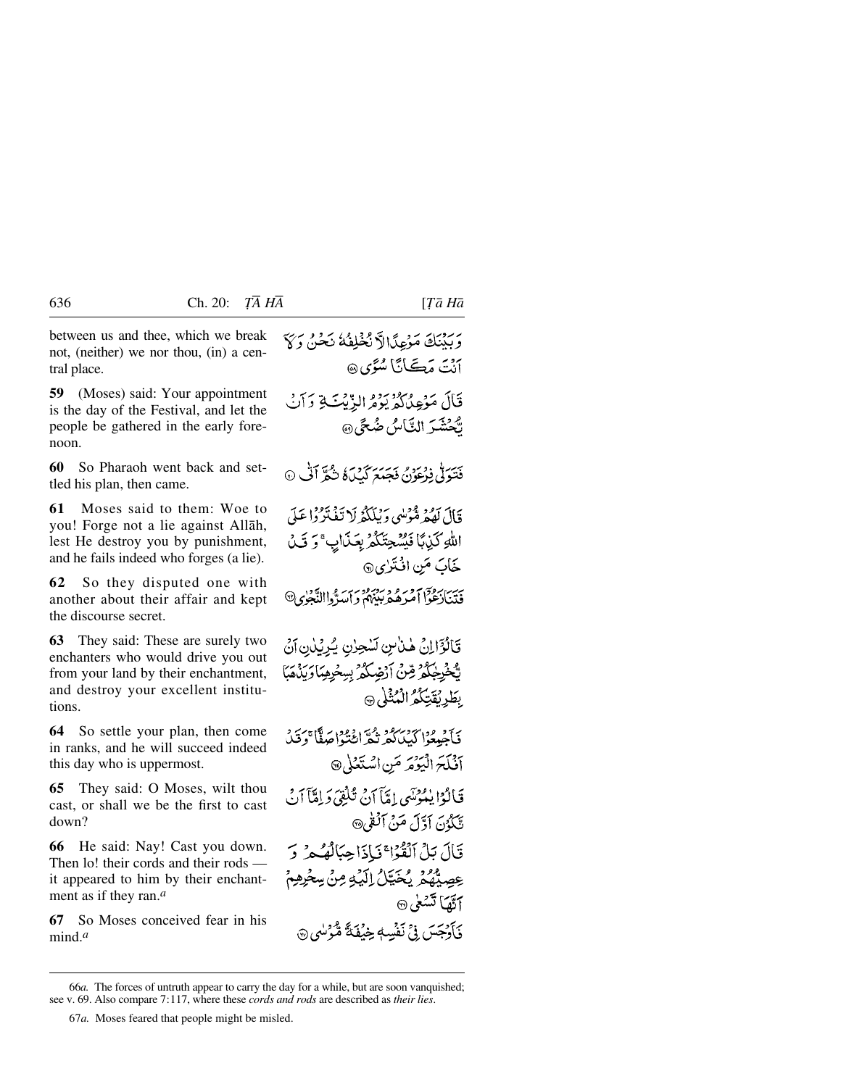between us and thee, which we break not, (neither) we nor thou, (in) a central place.

**59** (Moses) said: Your appointment is the day of the Festival, and let the people be gathered in the early forenoon.

**60** So Pharaoh went back and settled his plan, then came.

**61** Moses said to them: Woe to you! Forge not a lie against Allåh, lest He destroy you by punishment, and he fails indeed who forges (a lie).

**62** So they disputed one with another about their affair and kept the discourse secret.

**63** They said: These are surely two enchanters who would drive you out from your land by their enchantment, and destroy your excellent institutions.

**64** So settle your plan, then come in ranks, and he will succeed indeed this day who is uppermost.

**65** They said: O Moses, wilt thou cast, or shall we be the first to cast down?

**66** He said: Nay! Cast you down. Then lo! their cords and their rods it appeared to him by their enchantment as if they ran.*a*

**67** So Moses conceived fear in his mind.*a*

بِّحْرِجِكُمْ قِنْ أَرْضِكُمْ بِسِخْرِهِمَا وَبَذْهَبَا بِطَرِيْقَتِكُمُ الْمُثْلِيِّ ۞ نَآمِهِ وَاسْ مِهْمَ نَكْرٌ نَكْبَرَاءُ فِيهِ اصْلَاً ۚ وَقَبْلُ أَفْلَحَ الْيَوْمَرَ مَنِ اسْتَعْلَى @ قَالُوْا يُمُوْسَى إِمَّآ أَنْ تُلْقِيَ وَلِمَّآ أَنْ تَكَدُنَ أَوَّلَ مَنْ آلَعْي@ قَالَ بَلْ ٱلْقُوْا ۚ فَيَاذَا حِبَالُهُ مِرۡ وَ عِصِبِيْهِمْ ۚ يُحَيِّلُ إِلَيْهِ مِنْ سِعْرِهِمْ آٽَفَأتَسۡغيٰ۞ دَ) بِمَهْرَسَ فِي نَفْسِهِ جِبْيِفَةً مَّيْرَسُي ۞

<sup>66</sup>*a.* The forces of untruth appear to carry the day for a while, but are soon vanquished; see v. 69. Also compare 7:117, where these *cords and rods* are described as *their lies*.

<sup>67</sup>*a.* Moses feared that people might be misled.